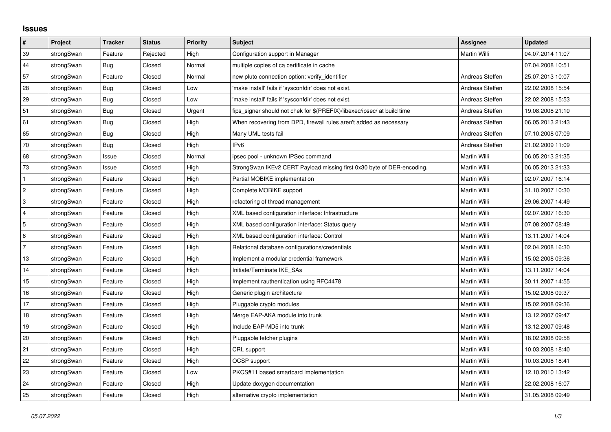## **Issues**

| $\vert$ #      | Project    | <b>Tracker</b> | <b>Status</b> | Priority | Subject                                                                 | <b>Assignee</b> | <b>Updated</b>   |
|----------------|------------|----------------|---------------|----------|-------------------------------------------------------------------------|-----------------|------------------|
| 39             | strongSwan | Feature        | Rejected      | High     | Configuration support in Manager                                        | Martin Willi    | 04.07.2014 11:07 |
| 44             | strongSwan | <b>Bug</b>     | Closed        | Normal   | multiple copies of ca certificate in cache                              |                 | 07.04.2008 10:51 |
| 57             | strongSwan | Feature        | Closed        | Normal   | new pluto connection option: verify_identifier                          | Andreas Steffen | 25.07.2013 10:07 |
| 28             | strongSwan | Bug            | Closed        | Low      | 'make install' fails if 'sysconfdir' does not exist.                    | Andreas Steffen | 22.02.2008 15:54 |
| 29             | strongSwan | Bug            | Closed        | Low      | 'make install' fails if 'sysconfdir' does not exist.                    | Andreas Steffen | 22.02.2008 15:53 |
| 51             | strongSwan | Bug            | Closed        | Urgent   | fips_signer should not chek for \$(PREFIX)/libexec/ipsec/ at build time | Andreas Steffen | 19.08.2008 21:10 |
| 61             | strongSwan | Bug            | Closed        | High     | When recovering from DPD, firewall rules aren't added as necessary      | Andreas Steffen | 06.05.2013 21:43 |
| 65             | strongSwan | Bug            | Closed        | High     | Many UML tests fail                                                     | Andreas Steffen | 07.10.2008 07:09 |
| 70             | strongSwan | Bug            | Closed        | High     | IP <sub>v6</sub>                                                        | Andreas Steffen | 21.02.2009 11:09 |
| 68             | strongSwan | Issue          | Closed        | Normal   | ipsec pool - unknown IPSec command                                      | Martin Willi    | 06.05.2013 21:35 |
| 73             | strongSwan | Issue          | Closed        | High     | StrongSwan IKEv2 CERT Payload missing first 0x30 byte of DER-encoding.  | Martin Willi    | 06.05.2013 21:33 |
| $\mathbf{1}$   | strongSwan | Feature        | Closed        | High     | Partial MOBIKE implementation                                           | Martin Willi    | 02.07.2007 16:14 |
| $\overline{2}$ | strongSwan | Feature        | Closed        | High     | Complete MOBIKE support                                                 | Martin Willi    | 31.10.2007 10:30 |
| 3              | strongSwan | Feature        | Closed        | High     | refactoring of thread management                                        | Martin Willi    | 29.06.2007 14:49 |
| $\overline{4}$ | strongSwan | Feature        | Closed        | High     | XML based configuration interface: Infrastructure                       | Martin Willi    | 02.07.2007 16:30 |
| 5              | strongSwan | Feature        | Closed        | High     | XML based configuration interface: Status query                         | Martin Willi    | 07.08.2007 08:49 |
| 6              | strongSwan | Feature        | Closed        | High     | XML based configuration interface: Control                              | Martin Willi    | 13.11.2007 14:04 |
| $\overline{7}$ | strongSwan | Feature        | Closed        | High     | Relational database configurations/credentials                          | Martin Willi    | 02.04.2008 16:30 |
| 13             | strongSwan | Feature        | Closed        | High     | Implement a modular credential framework                                | Martin Willi    | 15.02.2008 09:36 |
| 14             | strongSwan | Feature        | Closed        | High     | Initiate/Terminate IKE_SAs                                              | Martin Willi    | 13.11.2007 14:04 |
| 15             | strongSwan | Feature        | Closed        | High     | Implement rauthentication using RFC4478                                 | Martin Willi    | 30.11.2007 14:55 |
| 16             | strongSwan | Feature        | Closed        | High     | Generic plugin architecture                                             | Martin Willi    | 15.02.2008 09:37 |
| 17             | strongSwan | Feature        | Closed        | High     | Pluggable crypto modules                                                | Martin Willi    | 15.02.2008 09:36 |
| 18             | strongSwan | Feature        | Closed        | High     | Merge EAP-AKA module into trunk                                         | Martin Willi    | 13.12.2007 09:47 |
| 19             | strongSwan | Feature        | Closed        | High     | Include EAP-MD5 into trunk                                              | Martin Willi    | 13.12.2007 09:48 |
| 20             | strongSwan | Feature        | Closed        | High     | Pluggable fetcher plugins                                               | Martin Willi    | 18.02.2008 09:58 |
| 21             | strongSwan | Feature        | Closed        | High     | CRL support                                                             | Martin Willi    | 10.03.2008 18:40 |
| 22             | strongSwan | Feature        | Closed        | High     | OCSP support                                                            | Martin Willi    | 10.03.2008 18:41 |
| 23             | strongSwan | Feature        | Closed        | Low      | PKCS#11 based smartcard implementation                                  | Martin Willi    | 12.10.2010 13:42 |
| 24             | strongSwan | Feature        | Closed        | High     | Update doxygen documentation                                            | Martin Willi    | 22.02.2008 16:07 |
| 25             | strongSwan | Feature        | Closed        | High     | alternative crypto implementation                                       | Martin Willi    | 31.05.2008 09:49 |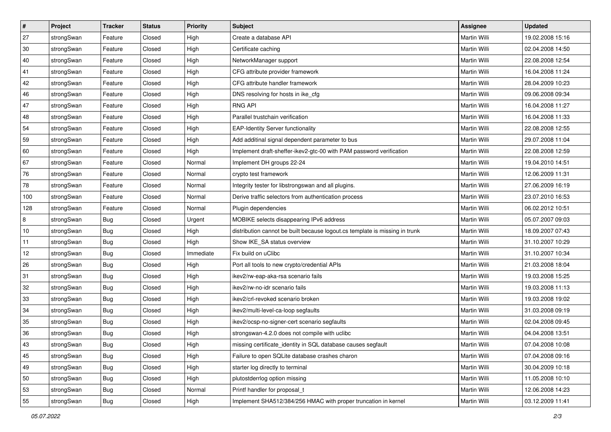| $\vert$ # | Project    | <b>Tracker</b> | <b>Status</b> | <b>Priority</b> | <b>Subject</b>                                                              | Assignee            | <b>Updated</b>   |
|-----------|------------|----------------|---------------|-----------------|-----------------------------------------------------------------------------|---------------------|------------------|
| 27        | strongSwan | Feature        | Closed        | High            | Create a database API                                                       | Martin Willi        | 19.02.2008 15:16 |
| 30        | strongSwan | Feature        | Closed        | High            | Certificate caching                                                         | <b>Martin Willi</b> | 02.04.2008 14:50 |
| 40        | strongSwan | Feature        | Closed        | High            | NetworkManager support                                                      | Martin Willi        | 22.08.2008 12:54 |
| 41        | strongSwan | Feature        | Closed        | High            | CFG attribute provider framework                                            | Martin Willi        | 16.04.2008 11:24 |
| 42        | strongSwan | Feature        | Closed        | High            | CFG attribute handler framework                                             | Martin Willi        | 28.04.2009 10:23 |
| 46        | strongSwan | Feature        | Closed        | High            | DNS resolving for hosts in ike cfg                                          | <b>Martin Willi</b> | 09.06.2008 09:34 |
| 47        | strongSwan | Feature        | Closed        | High            | <b>RNG API</b>                                                              | Martin Willi        | 16.04.2008 11:27 |
| 48        | strongSwan | Feature        | Closed        | High            | Parallel trustchain verification                                            | Martin Willi        | 16.04.2008 11:33 |
| 54        | strongSwan | Feature        | Closed        | High            | <b>EAP-Identity Server functionality</b>                                    | Martin Willi        | 22.08.2008 12:55 |
| 59        | strongSwan | Feature        | Closed        | High            | Add additinal signal dependent parameter to bus                             | Martin Willi        | 29.07.2008 11:04 |
| 60        | strongSwan | Feature        | Closed        | High            | Implement draft-sheffer-ikev2-gtc-00 with PAM password verification         | Martin Willi        | 22.08.2008 12:59 |
| 67        | strongSwan | Feature        | Closed        | Normal          | Implement DH groups 22-24                                                   | Martin Willi        | 19.04.2010 14:51 |
| 76        | strongSwan | Feature        | Closed        | Normal          | crypto test framework                                                       | <b>Martin Willi</b> | 12.06.2009 11:31 |
| 78        | strongSwan | Feature        | Closed        | Normal          | Integrity tester for libstrongswan and all plugins.                         | Martin Willi        | 27.06.2009 16:19 |
| 100       | strongSwan | Feature        | Closed        | Normal          | Derive traffic selectors from authentication process                        | <b>Martin Willi</b> | 23.07.2010 16:53 |
| 128       | strongSwan | Feature        | Closed        | Normal          | Plugin dependencies                                                         | Martin Willi        | 06.02.2012 10:51 |
| 8         | strongSwan | <b>Bug</b>     | Closed        | Urgent          | MOBIKE selects disappearing IPv6 address                                    | <b>Martin Willi</b> | 05.07.2007 09:03 |
| 10        | strongSwan | Bug            | Closed        | High            | distribution cannot be built because logout.cs template is missing in trunk | Martin Willi        | 18.09.2007 07:43 |
| 11        | strongSwan | Bug            | Closed        | High            | Show IKE_SA status overview                                                 | Martin Willi        | 31.10.2007 10:29 |
| 12        | strongSwan | Bug            | Closed        | Immediate       | Fix build on uClibc                                                         | Martin Willi        | 31.10.2007 10:34 |
| 26        | strongSwan | <b>Bug</b>     | Closed        | High            | Port all tools to new crypto/credential APIs                                | Martin Willi        | 21.03.2008 18:04 |
| 31        | strongSwan | <b>Bug</b>     | Closed        | High            | ikev2/rw-eap-aka-rsa scenario fails                                         | Martin Willi        | 19.03.2008 15:25 |
| 32        | strongSwan | Bug            | Closed        | High            | ikev2/rw-no-idr scenario fails                                              | Martin Willi        | 19.03.2008 11:13 |
| 33        | strongSwan | Bug            | Closed        | High            | ikev2/crl-revoked scenario broken                                           | Martin Willi        | 19.03.2008 19:02 |
| 34        | strongSwan | <b>Bug</b>     | Closed        | High            | ikev2/multi-level-ca-loop segfaults                                         | Martin Willi        | 31.03.2008 09:19 |
| 35        | strongSwan | Bug            | Closed        | High            | ikev2/ocsp-no-signer-cert scenario segfaults                                | Martin Willi        | 02.04.2008 09:45 |
| 36        | strongSwan | Bug            | Closed        | High            | strongswan-4.2.0 does not compile with uclibc                               | Martin Willi        | 04.04.2008 13:51 |
| 43        | strongSwan | Bug            | Closed        | High            | missing certificate_identity in SQL database causes segfault                | Martin Willi        | 07.04.2008 10:08 |
| 45        | strongSwan | Bug            | Closed        | High            | Failure to open SQLite database crashes charon                              | Martin Willi        | 07.04.2008 09:16 |
| 49        | strongSwan | Bug            | Closed        | High            | starter log directly to terminal                                            | Martin Willi        | 30.04.2009 10:18 |
| 50        | strongSwan | Bug            | Closed        | High            | plutostderrlog option missing                                               | Martin Willi        | 11.05.2008 10:10 |
| 53        | strongSwan | Bug            | Closed        | Normal          | Printf handler for proposal_t                                               | Martin Willi        | 12.06.2008 14:23 |
| 55        | strongSwan | Bug            | Closed        | High            | Implement SHA512/384/256 HMAC with proper truncation in kernel              | Martin Willi        | 03.12.2009 11:41 |